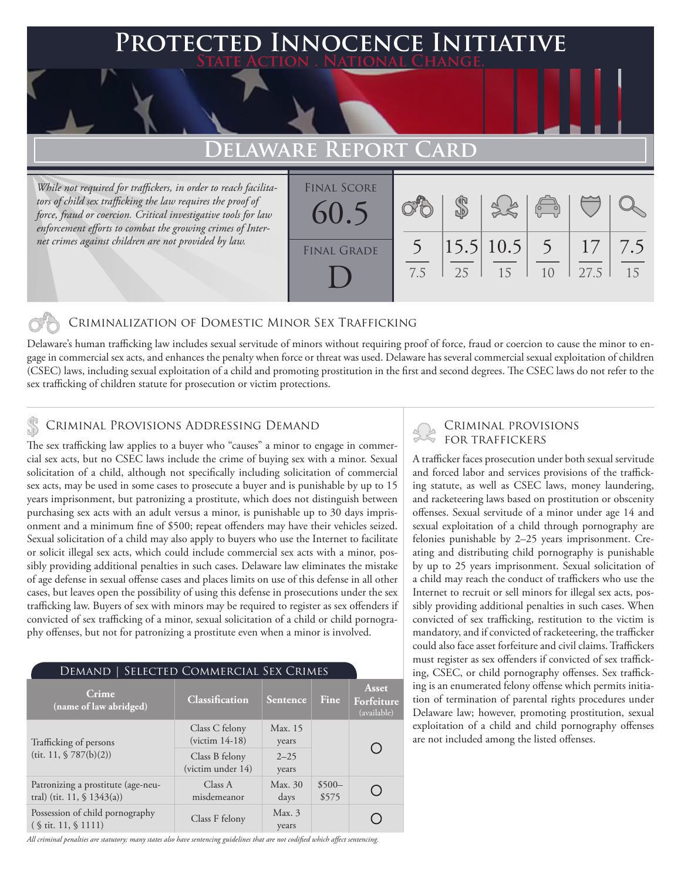### **PTED INNOCENCE INITIATIVE State Action . National Change.**

## **Delaware Report Card**

*While not required for traffickers, in order to reach facilitators of child sex trafficking the law requires the proof of force, fraud or coercion. Critical investigative tools for law enforcement efforts to combat the growing crimes of Internet crimes against children are not provided by law.*

| <b>FINAL SCORE</b><br>60.5 |     |    |                    | $\overline{a}$ |            |           |
|----------------------------|-----|----|--------------------|----------------|------------|-----------|
| <b>FINAL GRADE</b>         | 7.5 | 25 | 15.5 10.5 5<br>-15 | 10             | 17<br>27.5 | 7.5<br>15 |

### Criminalization of Domestic Minor Sex Trafficking

Delaware's human trafficking law includes sexual servitude of minors without requiring proof of force, fraud or coercion to cause the minor to engage in commercial sex acts, and enhances the penalty when force or threat was used. Delaware has several commercial sexual exploitation of children (CSEC) laws, including sexual exploitation of a child and promoting prostitution in the first and second degrees. The CSEC laws do not refer to the sex trafficking of children statute for prosecution or victim protections.

### Criminal Provisions Addressing Demand

The sex trafficking law applies to a buyer who "causes" a minor to engage in commercial sex acts, but no CSEC laws include the crime of buying sex with a minor. Sexual solicitation of a child, although not specifically including solicitation of commercial sex acts, may be used in some cases to prosecute a buyer and is punishable by up to 15 years imprisonment, but patronizing a prostitute, which does not distinguish between purchasing sex acts with an adult versus a minor, is punishable up to 30 days imprisonment and a minimum fine of \$500; repeat offenders may have their vehicles seized. Sexual solicitation of a child may also apply to buyers who use the Internet to facilitate or solicit illegal sex acts, which could include commercial sex acts with a minor, possibly providing additional penalties in such cases. Delaware law eliminates the mistake of age defense in sexual offense cases and places limits on use of this defense in all other cases, but leaves open the possibility of using this defense in prosecutions under the sex trafficking law. Buyers of sex with minors may be required to register as sex offenders if convicted of sex trafficking of a minor, sexual solicitation of a child or child pornography offenses, but not for patronizing a prostitute even when a minor is involved.

| SELECTED COMMERCIAL SEX CRIMES<br>Demand                                     |                                     |                   |                  |                                           |  |  |  |
|------------------------------------------------------------------------------|-------------------------------------|-------------------|------------------|-------------------------------------------|--|--|--|
| Crime<br>(name of law abridged)                                              | Classification                      | <b>Sentence</b>   | Fine             | <b>Asset</b><br>Forfeiture<br>(available) |  |  |  |
| Trafficking of persons                                                       | Class C felony<br>$(victim 14-18)$  | Max. 15<br>years  |                  |                                           |  |  |  |
| (tit. 11, $$787(b)(2)$ )                                                     | Class B felony<br>(victim under 14) | $2 - 25$<br>years |                  |                                           |  |  |  |
| Patronizing a prostitute (age-neu-<br>tral) (tit. 11, $\frac{1}{9}$ 1343(a)) | Class A<br>misdemeanor              | Max. 30<br>days   | $$500-$<br>\$575 |                                           |  |  |  |
| Possession of child pornography<br>$($ \ tit. 11, \ 1111)                    | Class F felony                      | Max.3<br>years    |                  |                                           |  |  |  |

*All criminal penalties are statutory; many states also have sentencing guidelines that are not codified which affect sentencing.* 

# Criminal provisions

A trafficker faces prosecution under both sexual servitude and forced labor and services provisions of the trafficking statute, as well as CSEC laws, money laundering, and racketeering laws based on prostitution or obscenity offenses. Sexual servitude of a minor under age 14 and sexual exploitation of a child through pornography are felonies punishable by 2–25 years imprisonment. Creating and distributing child pornography is punishable by up to 25 years imprisonment. Sexual solicitation of a child may reach the conduct of traffickers who use the Internet to recruit or sell minors for illegal sex acts, possibly providing additional penalties in such cases. When convicted of sex trafficking, restitution to the victim is mandatory, and if convicted of racketeering, the trafficker could also face asset forfeiture and civil claims. Traffickers must register as sex offenders if convicted of sex trafficking, CSEC, or child pornography offenses. Sex trafficking is an enumerated felony offense which permits initiation of termination of parental rights procedures under Delaware law; however, promoting prostitution, sexual exploitation of a child and child pornography offenses are not included among the listed offenses.